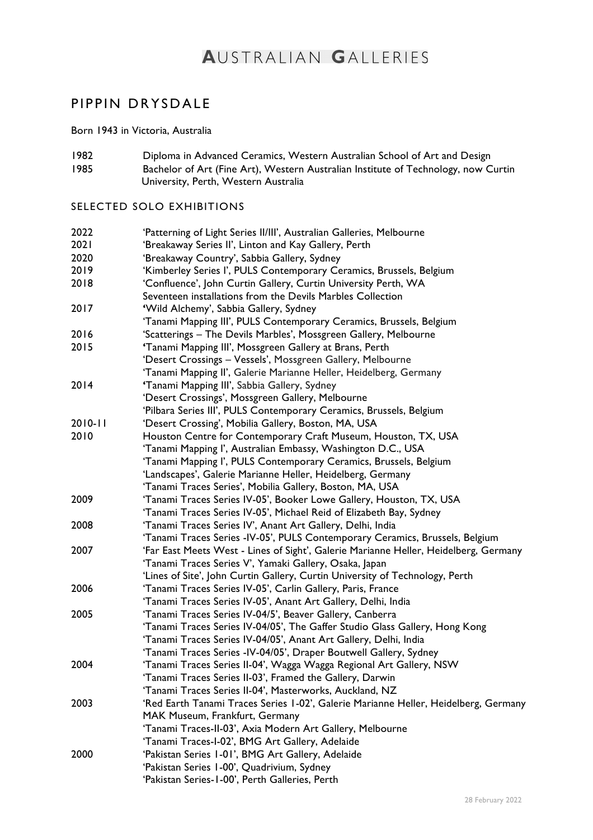# **AUSTRALIAN GALLERIES**

# PIPPIN DRYSDALE

Born 1943 in Victoria, Australia

1982 Diploma in Advanced Ceramics, Western Australian School of Art and Design 1985 Bachelor of Art (Fine Art), Western Australian Institute of Technology, now Curtin University, Perth, Western Australia

# SELECTED SOLO EXHIBITIONS

| 2022        | 'Patterning of Light Series II/III', Australian Galleries, Melbourne                 |
|-------------|--------------------------------------------------------------------------------------|
| 2021        | 'Breakaway Series II', Linton and Kay Gallery, Perth                                 |
| 2020        | 'Breakaway Country', Sabbia Gallery, Sydney                                          |
| 2019        | 'Kimberley Series I', PULS Contemporary Ceramics, Brussels, Belgium                  |
| 2018        | 'Confluence', John Curtin Gallery, Curtin University Perth, WA                       |
|             | Seventeen installations from the Devils Marbles Collection                           |
| 2017        | 'Wild Alchemy', Sabbia Gallery, Sydney                                               |
|             | 'Tanami Mapping III', PULS Contemporary Ceramics, Brussels, Belgium                  |
| 2016        | 'Scatterings - The Devils Marbles', Mossgreen Gallery, Melbourne                     |
| 2015        | 'Tanami Mapping III', Mossgreen Gallery at Brans, Perth                              |
|             | 'Desert Crossings - Vessels', Mossgreen Gallery, Melbourne                           |
|             | 'Tanami Mapping II', Galerie Marianne Heller, Heidelberg, Germany                    |
| 2014        | 'Tanami Mapping III', Sabbia Gallery, Sydney                                         |
|             | 'Desert Crossings', Mossgreen Gallery, Melbourne                                     |
|             | 'Pilbara Series III', PULS Contemporary Ceramics, Brussels, Belgium                  |
| $2010 - 11$ | 'Desert Crossing', Mobilia Gallery, Boston, MA, USA                                  |
| 2010        | Houston Centre for Contemporary Craft Museum, Houston, TX, USA                       |
|             | 'Tanami Mapping I', Australian Embassy, Washington D.C., USA                         |
|             | 'Tanami Mapping I', PULS Contemporary Ceramics, Brussels, Belgium                    |
|             | 'Landscapes', Galerie Marianne Heller, Heidelberg, Germany                           |
|             | 'Tanami Traces Series', Mobilia Gallery, Boston, MA, USA                             |
| 2009        | 'Tanami Traces Series IV-05', Booker Lowe Gallery, Houston, TX, USA                  |
|             | 'Tanami Traces Series IV-05', Michael Reid of Elizabeth Bay, Sydney                  |
| 2008        | 'Tanami Traces Series IV', Anant Art Gallery, Delhi, India                           |
|             | 'Tanami Traces Series -IV-05', PULS Contemporary Ceramics, Brussels, Belgium         |
| 2007        | 'Far East Meets West - Lines of Sight', Galerie Marianne Heller, Heidelberg, Germany |
|             | 'Tanami Traces Series V', Yamaki Gallery, Osaka, Japan                               |
|             | 'Lines of Site', John Curtin Gallery, Curtin University of Technology, Perth         |
| 2006        | 'Tanami Traces Series IV-05', Carlin Gallery, Paris, France                          |
|             | 'Tanami Traces Series IV-05', Anant Art Gallery, Delhi, India                        |
| 2005        | 'Tanami Traces Series IV-04/5', Beaver Gallery, Canberra                             |
|             | 'Tanami Traces Series IV-04/05', The Gaffer Studio Glass Gallery, Hong Kong          |
|             | 'Tanami Traces Series IV-04/05', Anant Art Gallery, Delhi, India                     |
|             | 'Tanami Traces Series -IV-04/05', Draper Boutwell Gallery, Sydney                    |
| 2004        | 'Tanami Traces Series II-04', Wagga Wagga Regional Art Gallery, NSW                  |
|             | 'Tanami Traces Series II-03', Framed the Gallery, Darwin                             |
|             | 'Tanami Traces Series II-04', Masterworks, Auckland, NZ                              |
| 2003        | 'Red Earth Tanami Traces Series 1-02', Galerie Marianne Heller, Heidelberg, Germany  |
|             | MAK Museum, Frankfurt, Germany                                                       |
|             | 'Tanami Traces-II-03', Axia Modern Art Gallery, Melbourne                            |
|             | 'Tanami Traces-I-02', BMG Art Gallery, Adelaide                                      |
| 2000        | 'Pakistan Series 1-01', BMG Art Gallery, Adelaide                                    |
|             | 'Pakistan Series 1-00', Quadrivium, Sydney                                           |
|             | 'Pakistan Series-1-00', Perth Galleries, Perth                                       |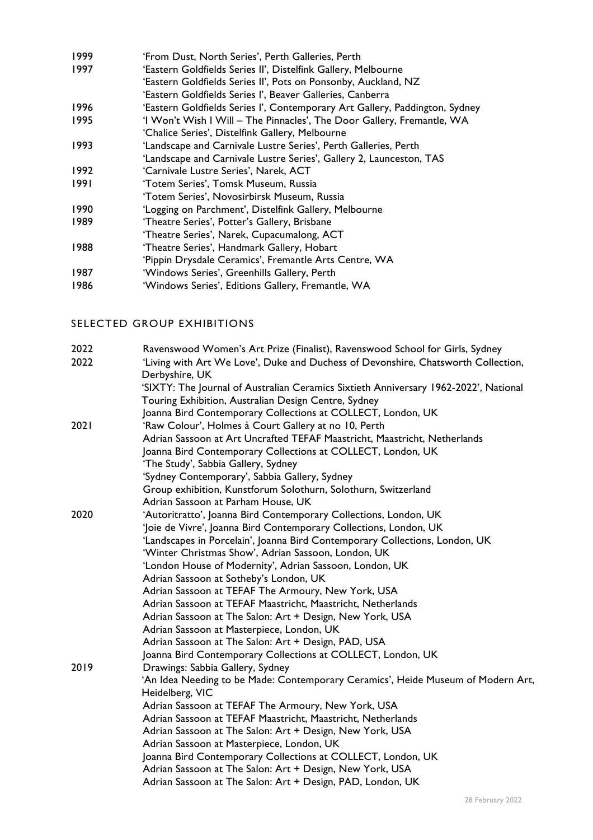- 1999 'From Dust, North Series', Perth Galleries, Perth 1997 'Eastern Goldfields Series II', Distelfink Gallery, Melbourne 'Eastern Goldfields Series II', Pots on Ponsonby, Auckland, NZ
- 'Eastern Goldfields Series I', Beaver Galleries, Canberra
- 1996 'Eastern Goldfields Series I', Contemporary Art Gallery, Paddington, Sydney
- 1995 'I Won't Wish I Will The Pinnacles', The Door Gallery, Fremantle, WA
- 'Chalice Series', Distelfink Gallery, Melbourne
- 1993 'Landscape and Carnivale Lustre Series', Perth Galleries, Perth
- 'Landscape and Carnivale Lustre Series', Gallery 2, Launceston, TAS
- 1992 'Carnivale Lustre Series', Narek, ACT
- 1991 'Totem Series', Tomsk Museum, Russia
- 'Totem Series', Novosirbirsk Museum, Russia
- 1990 'Logging on Parchment', Distelfink Gallery, Melbourne
- 1989 'Theatre Series', Potter's Gallery, Brisbane
- 'Theatre Series', Narek, Cupacumalong, ACT
- 1988 'Theatre Series', Handmark Gallery, Hobart
- 'Pippin Drysdale Ceramics', Fremantle Arts Centre, WA
- 1987 'Windows Series', Greenhills Gallery, Perth
- 1986 'Windows Series', Editions Gallery, Fremantle, WA

## SELECTED GROUP EXHIBITIONS

| 2022<br>2022 | Ravenswood Women's Art Prize (Finalist), Ravenswood School for Girls, Sydney<br>'Living with Art We Love', Duke and Duchess of Devonshire, Chatsworth Collection,<br>Derbyshire, UK |
|--------------|-------------------------------------------------------------------------------------------------------------------------------------------------------------------------------------|
|              | 'SIXTY: The Journal of Australian Ceramics Sixtieth Anniversary 1962-2022', National<br>Touring Exhibition, Australian Design Centre, Sydney                                        |
|              | Joanna Bird Contemporary Collections at COLLECT, London, UK                                                                                                                         |
| 2021         | 'Raw Colour', Holmes à Court Gallery at no 10, Perth                                                                                                                                |
|              | Adrian Sassoon at Art Uncrafted TEFAF Maastricht, Maastricht, Netherlands                                                                                                           |
|              | Joanna Bird Contemporary Collections at COLLECT, London, UK                                                                                                                         |
|              | 'The Study', Sabbia Gallery, Sydney                                                                                                                                                 |
|              | 'Sydney Contemporary', Sabbia Gallery, Sydney                                                                                                                                       |
|              | Group exhibition, Kunstforum Solothurn, Solothurn, Switzerland                                                                                                                      |
|              | Adrian Sassoon at Parham House, UK                                                                                                                                                  |
| 2020         | 'Autoritratto', Joanna Bird Contemporary Collections, London, UK                                                                                                                    |
|              | 'Joie de Vivre', Joanna Bird Contemporary Collections, London, UK                                                                                                                   |
|              | 'Landscapes in Porcelain', Joanna Bird Contemporary Collections, London, UK                                                                                                         |
|              | 'Winter Christmas Show', Adrian Sassoon, London, UK                                                                                                                                 |
|              | 'London House of Modernity', Adrian Sassoon, London, UK                                                                                                                             |
|              | Adrian Sassoon at Sotheby's London, UK                                                                                                                                              |
|              | Adrian Sassoon at TEFAF The Armoury, New York, USA                                                                                                                                  |
|              | Adrian Sassoon at TEFAF Maastricht, Maastricht, Netherlands                                                                                                                         |
|              | Adrian Sassoon at The Salon: Art + Design, New York, USA                                                                                                                            |
|              | Adrian Sassoon at Masterpiece, London, UK                                                                                                                                           |
|              | Adrian Sassoon at The Salon: Art + Design, PAD, USA                                                                                                                                 |
|              | Joanna Bird Contemporary Collections at COLLECT, London, UK                                                                                                                         |
| 2019         | Drawings: Sabbia Gallery, Sydney                                                                                                                                                    |
|              | 'An Idea Needing to be Made: Contemporary Ceramics', Heide Museum of Modern Art,                                                                                                    |
|              | Heidelberg, VIC                                                                                                                                                                     |
|              | Adrian Sassoon at TEFAF The Armoury, New York, USA                                                                                                                                  |
|              | Adrian Sassoon at TEFAF Maastricht, Maastricht, Netherlands                                                                                                                         |
|              | Adrian Sassoon at The Salon: Art + Design, New York, USA                                                                                                                            |
|              | Adrian Sassoon at Masterpiece, London, UK                                                                                                                                           |
|              | Joanna Bird Contemporary Collections at COLLECT, London, UK                                                                                                                         |
|              | Adrian Sassoon at The Salon: Art + Design, New York, USA                                                                                                                            |
|              | Adrian Sassoon at The Salon: Art + Design, PAD, London, UK                                                                                                                          |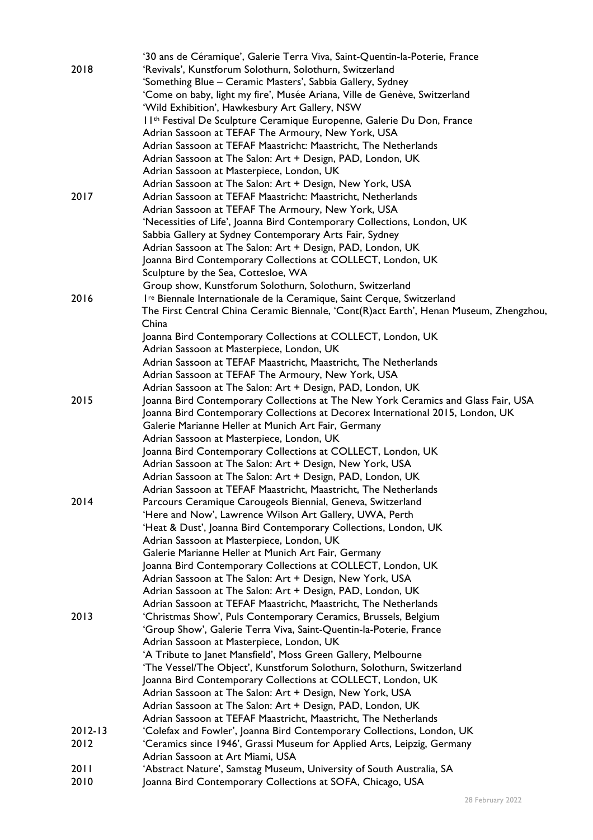|             | '30 ans de Céramique', Galerie Terra Viva, Saint-Quentin-la-Poterie, France                                                    |
|-------------|--------------------------------------------------------------------------------------------------------------------------------|
| 2018        | 'Revivals', Kunstforum Solothurn, Solothurn, Switzerland                                                                       |
|             | 'Something Blue - Ceramic Masters', Sabbia Gallery, Sydney                                                                     |
|             | 'Come on baby, light my fire', Musée Ariana, Ville de Genève, Switzerland                                                      |
|             | 'Wild Exhibition', Hawkesbury Art Gallery, NSW                                                                                 |
|             | Il <sup>th</sup> Festival De Sculpture Ceramique Europenne, Galerie Du Don, France                                             |
|             | Adrian Sassoon at TEFAF The Armoury, New York, USA                                                                             |
|             | Adrian Sassoon at TEFAF Maastricht: Maastricht, The Netherlands                                                                |
|             | Adrian Sassoon at The Salon: Art + Design, PAD, London, UK                                                                     |
|             | Adrian Sassoon at Masterpiece, London, UK                                                                                      |
|             | Adrian Sassoon at The Salon: Art + Design, New York, USA                                                                       |
| 2017        | Adrian Sassoon at TEFAF Maastricht: Maastricht, Netherlands                                                                    |
|             | Adrian Sassoon at TEFAF The Armoury, New York, USA                                                                             |
|             | 'Necessities of Life', Joanna Bird Contemporary Collections, London, UK                                                        |
|             | Sabbia Gallery at Sydney Contemporary Arts Fair, Sydney                                                                        |
|             | Adrian Sassoon at The Salon: Art + Design, PAD, London, UK                                                                     |
|             | Joanna Bird Contemporary Collections at COLLECT, London, UK                                                                    |
|             | Sculpture by the Sea, Cottesloe, WA                                                                                            |
|             | Group show, Kunstforum Solothurn, Solothurn, Switzerland                                                                       |
| 2016        | I <sup>re</sup> Biennale Internationale de la Ceramique, Saint Cerque, Switzerland                                             |
|             | The First Central China Ceramic Biennale, 'Cont(R)act Earth', Henan Museum, Zhengzhou,                                         |
|             | China                                                                                                                          |
|             | Joanna Bird Contemporary Collections at COLLECT, London, UK                                                                    |
|             | Adrian Sassoon at Masterpiece, London, UK                                                                                      |
|             | Adrian Sassoon at TEFAF Maastricht, Maastricht, The Netherlands                                                                |
|             | Adrian Sassoon at TEFAF The Armoury, New York, USA                                                                             |
|             | Adrian Sassoon at The Salon: Art + Design, PAD, London, UK                                                                     |
| 2015        | Joanna Bird Contemporary Collections at The New York Ceramics and Glass Fair, USA                                              |
|             | Joanna Bird Contemporary Collections at Decorex International 2015, London, UK                                                 |
|             | Galerie Marianne Heller at Munich Art Fair, Germany                                                                            |
|             | Adrian Sassoon at Masterpiece, London, UK                                                                                      |
|             | Joanna Bird Contemporary Collections at COLLECT, London, UK                                                                    |
|             | Adrian Sassoon at The Salon: Art + Design, New York, USA                                                                       |
|             |                                                                                                                                |
|             | Adrian Sassoon at The Salon: Art + Design, PAD, London, UK                                                                     |
| 2014        | Adrian Sassoon at TEFAF Maastricht, Maastricht, The Netherlands<br>Parcours Ceramique Carougeols Biennial, Geneva, Switzerland |
|             |                                                                                                                                |
|             | 'Here and Now', Lawrence Wilson Art Gallery, UWA, Perth                                                                        |
|             | 'Heat & Dust', Joanna Bird Contemporary Collections, London, UK                                                                |
|             | Adrian Sassoon at Masterpiece, London, UK                                                                                      |
|             | Galerie Marianne Heller at Munich Art Fair, Germany                                                                            |
|             | Joanna Bird Contemporary Collections at COLLECT, London, UK                                                                    |
|             | Adrian Sassoon at The Salon: Art + Design, New York, USA                                                                       |
|             | Adrian Sassoon at The Salon: Art + Design, PAD, London, UK                                                                     |
|             | Adrian Sassoon at TEFAF Maastricht, Maastricht, The Netherlands                                                                |
| 2013        | 'Christmas Show', Puls Contemporary Ceramics, Brussels, Belgium                                                                |
|             | 'Group Show', Galerie Terra Viva, Saint-Quentin-la-Poterie, France                                                             |
|             | Adrian Sassoon at Masterpiece, London, UK                                                                                      |
|             | 'A Tribute to Janet Mansfield', Moss Green Gallery, Melbourne                                                                  |
|             | 'The Vessel/The Object', Kunstforum Solothurn, Solothurn, Switzerland                                                          |
|             | Joanna Bird Contemporary Collections at COLLECT, London, UK                                                                    |
|             | Adrian Sassoon at The Salon: Art + Design, New York, USA                                                                       |
|             | Adrian Sassoon at The Salon: Art + Design, PAD, London, UK                                                                     |
|             | Adrian Sassoon at TEFAF Maastricht, Maastricht, The Netherlands                                                                |
| $2012 - 13$ | 'Colefax and Fowler', Joanna Bird Contemporary Collections, London, UK                                                         |
| 2012        | 'Ceramics since 1946', Grassi Museum for Applied Arts, Leipzig, Germany                                                        |
|             | Adrian Sassoon at Art Miami, USA                                                                                               |
| 2011        | 'Abstract Nature', Samstag Museum, University of South Australia, SA                                                           |
| 2010        | Joanna Bird Contemporary Collections at SOFA, Chicago, USA                                                                     |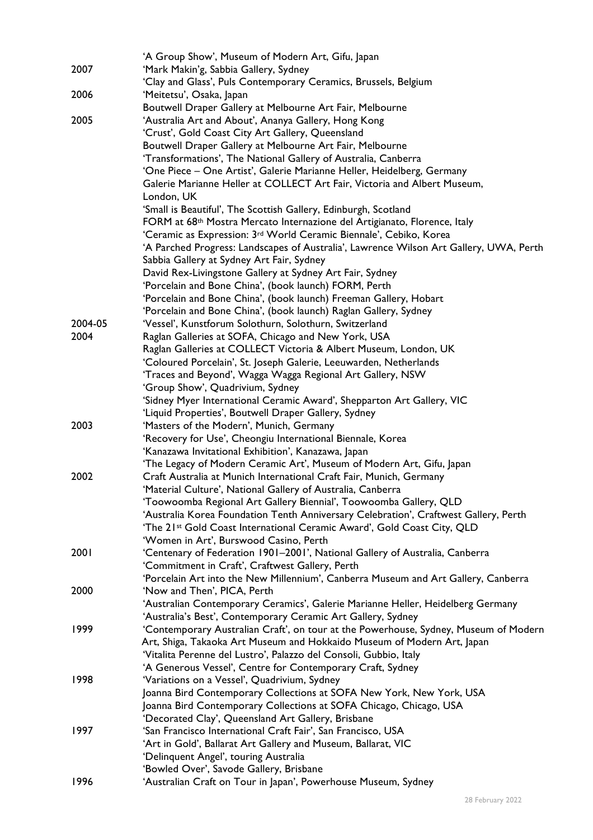|         | 'A Group Show', Museum of Modern Art, Gifu, Japan                                      |
|---------|----------------------------------------------------------------------------------------|
| 2007    | 'Mark Makin'g, Sabbia Gallery, Sydney                                                  |
|         | 'Clay and Glass', Puls Contemporary Ceramics, Brussels, Belgium                        |
| 2006    | 'Meitetsu', Osaka, Japan                                                               |
|         | Boutwell Draper Gallery at Melbourne Art Fair, Melbourne                               |
| 2005    | 'Australia Art and About', Ananya Gallery, Hong Kong                                   |
|         | 'Crust', Gold Coast City Art Gallery, Queensland                                       |
|         | Boutwell Draper Gallery at Melbourne Art Fair, Melbourne                               |
|         | 'Transformations', The National Gallery of Australia, Canberra                         |
|         | 'One Piece – One Artist', Galerie Marianne Heller, Heidelberg, Germany                 |
|         | Galerie Marianne Heller at COLLECT Art Fair, Victoria and Albert Museum,               |
|         | London, UK                                                                             |
|         | 'Small is Beautiful', The Scottish Gallery, Edinburgh, Scotland                        |
|         | FORM at 68 <sup>th</sup> Mostra Mercato Internazione del Artigianato, Florence, Italy  |
|         | 'Ceramic as Expression: 3 <sup>rd</sup> World Ceramic Biennale', Cebiko, Korea         |
|         | 'A Parched Progress: Landscapes of Australia', Lawrence Wilson Art Gallery, UWA, Perth |
|         | Sabbia Gallery at Sydney Art Fair, Sydney                                              |
|         | David Rex-Livingstone Gallery at Sydney Art Fair, Sydney                               |
|         | 'Porcelain and Bone China', (book launch) FORM, Perth                                  |
|         | 'Porcelain and Bone China', (book launch) Freeman Gallery, Hobart                      |
|         | 'Porcelain and Bone China', (book launch) Raglan Gallery, Sydney                       |
| 2004-05 | 'Vessel', Kunstforum Solothurn, Solothurn, Switzerland                                 |
| 2004    | Raglan Galleries at SOFA, Chicago and New York, USA                                    |
|         | Raglan Galleries at COLLECT Victoria & Albert Museum, London, UK                       |
|         | 'Coloured Porcelain', St. Joseph Galerie, Leeuwarden, Netherlands                      |
|         | 'Traces and Beyond', Wagga Wagga Regional Art Gallery, NSW                             |
|         | 'Group Show', Quadrivium, Sydney                                                       |
|         | 'Sidney Myer International Ceramic Award', Shepparton Art Gallery, VIC                 |
|         | 'Liquid Properties', Boutwell Draper Gallery, Sydney                                   |
| 2003    | 'Masters of the Modern', Munich, Germany                                               |
|         | 'Recovery for Use', Cheongiu International Biennale, Korea                             |
|         | 'Kanazawa Invitational Exhibition', Kanazawa, Japan                                    |
|         | 'The Legacy of Modern Ceramic Art', Museum of Modern Art, Gifu, Japan                  |
| 2002    | Craft Australia at Munich International Craft Fair, Munich, Germany                    |
|         | 'Material Culture', National Gallery of Australia, Canberra                            |
|         | Toowoomba Regional Art Gallery Biennial', Toowoomba Gallery, QLD                       |
|         | 'Australia Korea Foundation Tenth Anniversary Celebration', Craftwest Gallery, Perth   |
|         | 'The 21st Gold Coast International Ceramic Award', Gold Coast City, QLD                |
|         | 'Women in Art', Burswood Casino, Perth                                                 |
| 2001    | 'Centenary of Federation 1901-2001', National Gallery of Australia, Canberra           |
|         | 'Commitment in Craft', Craftwest Gallery, Perth                                        |
|         | 'Porcelain Art into the New Millennium', Canberra Museum and Art Gallery, Canberra     |
| 2000    | 'Now and Then', PICA, Perth                                                            |
|         | 'Australian Contemporary Ceramics', Galerie Marianne Heller, Heidelberg Germany        |
|         | 'Australia's Best', Contemporary Ceramic Art Gallery, Sydney                           |
| 1999    | 'Contemporary Australian Craft', on tour at the Powerhouse, Sydney, Museum of Modern   |
|         | Art, Shiga, Takaoka Art Museum and Hokkaido Museum of Modern Art, Japan                |
|         | 'Vitalita Perenne del Lustro', Palazzo del Consoli, Gubbio, Italy                      |
|         | 'A Generous Vessel', Centre for Contemporary Craft, Sydney                             |
| 1998    | 'Variations on a Vessel', Quadrivium, Sydney                                           |
|         | Joanna Bird Contemporary Collections at SOFA New York, New York, USA                   |
|         | Joanna Bird Contemporary Collections at SOFA Chicago, Chicago, USA                     |
|         | 'Decorated Clay', Queensland Art Gallery, Brisbane                                     |
| 1997    | 'San Francisco International Craft Fair', San Francisco, USA                           |
|         | 'Art in Gold', Ballarat Art Gallery and Museum, Ballarat, VIC                          |
|         | 'Delinquent Angel', touring Australia                                                  |
|         | 'Bowled Over', Savode Gallery, Brisbane                                                |
| 1996    | 'Australian Craft on Tour in Japan', Powerhouse Museum, Sydney                         |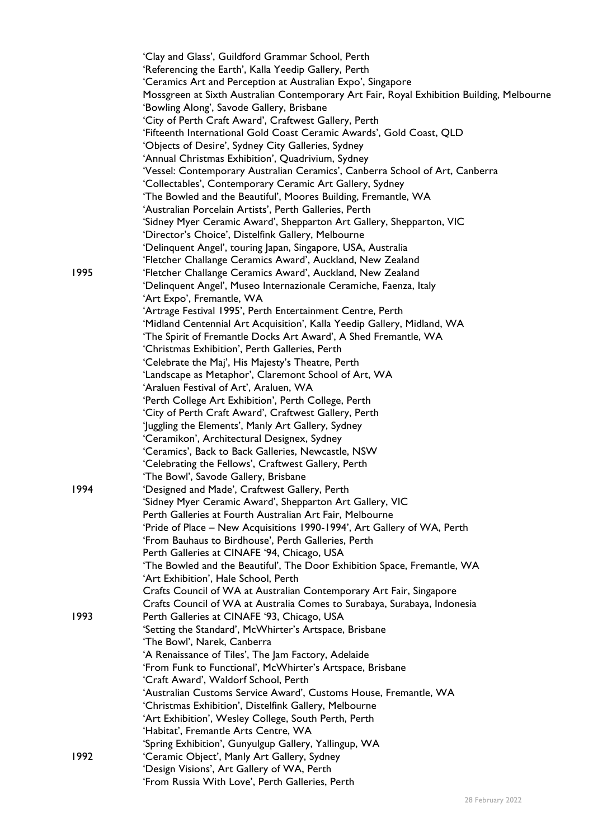|      | 'Clay and Glass', Guildford Grammar School, Perth<br>'Referencing the Earth', Kalla Yeedip Gallery, Perth<br>'Ceramics Art and Perception at Australian Expo', Singapore |
|------|--------------------------------------------------------------------------------------------------------------------------------------------------------------------------|
|      | Mossgreen at Sixth Australian Contemporary Art Fair, Royal Exhibition Building, Melbourne<br>'Bowling Along', Savode Gallery, Brisbane                                   |
|      | 'City of Perth Craft Award', Craftwest Gallery, Perth                                                                                                                    |
|      | 'Fifteenth International Gold Coast Ceramic Awards', Gold Coast, QLD                                                                                                     |
|      | 'Objects of Desire', Sydney City Galleries, Sydney                                                                                                                       |
|      | 'Annual Christmas Exhibition', Quadrivium, Sydney                                                                                                                        |
|      | 'Vessel: Contemporary Australian Ceramics', Canberra School of Art, Canberra                                                                                             |
|      | 'Collectables', Contemporary Ceramic Art Gallery, Sydney                                                                                                                 |
|      | 'The Bowled and the Beautiful', Moores Building, Fremantle, WA                                                                                                           |
|      | 'Australian Porcelain Artists', Perth Galleries, Perth                                                                                                                   |
|      | 'Sidney Myer Ceramic Award', Shepparton Art Gallery, Shepparton, VIC                                                                                                     |
|      | 'Director's Choice', Distelfink Gallery, Melbourne                                                                                                                       |
|      | 'Delinquent Angel', touring Japan, Singapore, USA, Australia                                                                                                             |
|      | 'Fletcher Challange Ceramics Award', Auckland, New Zealand                                                                                                               |
| 1995 | 'Fletcher Challange Ceramics Award', Auckland, New Zealand                                                                                                               |
|      | 'Delinquent Angel', Museo Internazionale Ceramiche, Faenza, Italy                                                                                                        |
|      | 'Art Expo', Fremantle, WA                                                                                                                                                |
|      | 'Artrage Festival 1995', Perth Entertainment Centre, Perth                                                                                                               |
|      | 'Midland Centennial Art Acquisition', Kalla Yeedip Gallery, Midland, WA                                                                                                  |
|      | 'The Spirit of Fremantle Docks Art Award', A Shed Fremantle, WA                                                                                                          |
|      | 'Christmas Exhibition', Perth Galleries, Perth                                                                                                                           |
|      | 'Celebrate the Maj', His Majesty's Theatre, Perth                                                                                                                        |
|      | 'Landscape as Metaphor', Claremont School of Art, WA                                                                                                                     |
|      | 'Araluen Festival of Art', Araluen, WA                                                                                                                                   |
|      | 'Perth College Art Exhibition', Perth College, Perth                                                                                                                     |
|      | 'City of Perth Craft Award', Craftwest Gallery, Perth                                                                                                                    |
|      | 'Juggling the Elements', Manly Art Gallery, Sydney                                                                                                                       |
|      | 'Ceramikon', Architectural Designex, Sydney                                                                                                                              |
|      | 'Ceramics', Back to Back Galleries, Newcastle, NSW                                                                                                                       |
|      | 'Celebrating the Fellows', Craftwest Gallery, Perth                                                                                                                      |
| 1994 | 'The Bowl', Savode Gallery, Brisbane                                                                                                                                     |
|      | 'Designed and Made', Craftwest Gallery, Perth<br>'Sidney Myer Ceramic Award', Shepparton Art Gallery, VIC                                                                |
|      | Perth Galleries at Fourth Australian Art Fair, Melbourne                                                                                                                 |
|      | 'Pride of Place - New Acquisitions 1990-1994', Art Gallery of WA, Perth                                                                                                  |
|      | 'From Bauhaus to Birdhouse', Perth Galleries, Perth                                                                                                                      |
|      | Perth Galleries at CINAFE '94, Chicago, USA                                                                                                                              |
|      | 'The Bowled and the Beautiful', The Door Exhibition Space, Fremantle, WA                                                                                                 |
|      | 'Art Exhibition', Hale School, Perth                                                                                                                                     |
|      | Crafts Council of WA at Australian Contemporary Art Fair, Singapore                                                                                                      |
|      | Crafts Council of WA at Australia Comes to Surabaya, Surabaya, Indonesia                                                                                                 |
| 1993 | Perth Galleries at CINAFE '93, Chicago, USA                                                                                                                              |
|      | 'Setting the Standard', McWhirter's Artspace, Brisbane                                                                                                                   |
|      | 'The Bowl', Narek, Canberra                                                                                                                                              |
|      | 'A Renaissance of Tiles', The Jam Factory, Adelaide                                                                                                                      |
|      | 'From Funk to Functional', McWhirter's Artspace, Brisbane                                                                                                                |
|      | 'Craft Award', Waldorf School, Perth                                                                                                                                     |
|      | 'Australian Customs Service Award', Customs House, Fremantle, WA                                                                                                         |
|      | 'Christmas Exhibition', Distelfink Gallery, Melbourne                                                                                                                    |
|      | 'Art Exhibition', Wesley College, South Perth, Perth                                                                                                                     |
|      | 'Habitat', Fremantle Arts Centre, WA                                                                                                                                     |
|      | 'Spring Exhibition', Gunyulgup Gallery, Yallingup, WA                                                                                                                    |
| 1992 | 'Ceramic Object', Manly Art Gallery, Sydney                                                                                                                              |
|      | 'Design Visions', Art Gallery of WA, Perth                                                                                                                               |
|      | 'From Russia With Love', Perth Galleries, Perth                                                                                                                          |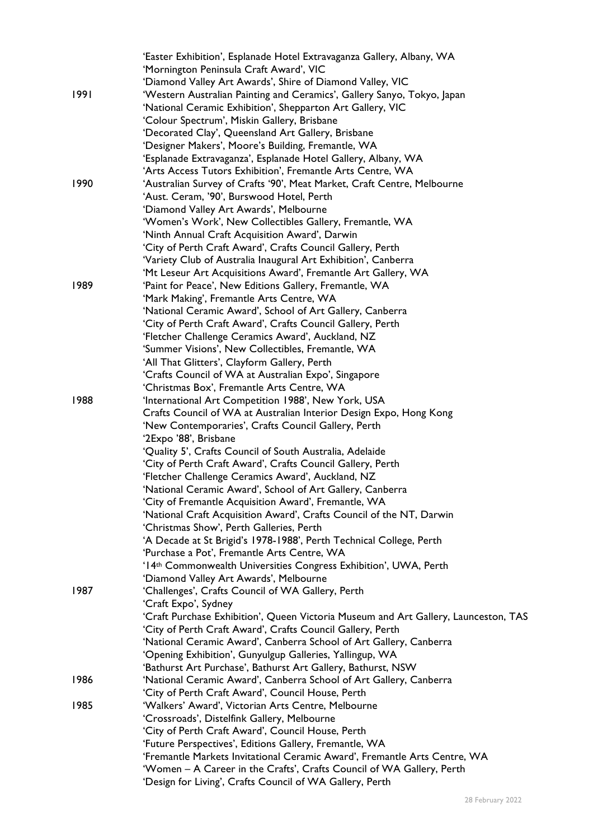|      | 'Easter Exhibition', Esplanade Hotel Extravaganza Gallery, Albany, WA               |
|------|-------------------------------------------------------------------------------------|
|      | 'Mornington Peninsula Craft Award', VIC                                             |
|      | 'Diamond Valley Art Awards', Shire of Diamond Valley, VIC                           |
| 1991 | 'Western Australian Painting and Ceramics', Gallery Sanyo, Tokyo, Japan             |
|      | 'National Ceramic Exhibition', Shepparton Art Gallery, VIC                          |
|      | 'Colour Spectrum', Miskin Gallery, Brisbane                                         |
|      | 'Decorated Clay', Queensland Art Gallery, Brisbane                                  |
|      | 'Designer Makers', Moore's Building, Fremantle, WA                                  |
|      | 'Esplanade Extravaganza', Esplanade Hotel Gallery, Albany, WA                       |
|      | 'Arts Access Tutors Exhibition', Fremantle Arts Centre, WA                          |
| 1990 | 'Australian Survey of Crafts '90', Meat Market, Craft Centre, Melbourne             |
|      | 'Aust. Ceram, '90', Burswood Hotel, Perth                                           |
|      | 'Diamond Valley Art Awards', Melbourne                                              |
|      |                                                                                     |
|      | 'Women's Work', New Collectibles Gallery, Fremantle, WA                             |
|      | 'Ninth Annual Craft Acquisition Award', Darwin                                      |
|      | 'City of Perth Craft Award', Crafts Council Gallery, Perth                          |
|      | 'Variety Club of Australia Inaugural Art Exhibition', Canberra                      |
|      | 'Mt Leseur Art Acquisitions Award', Fremantle Art Gallery, WA                       |
| 1989 | 'Paint for Peace', New Editions Gallery, Fremantle, WA                              |
|      | 'Mark Making', Fremantle Arts Centre, WA                                            |
|      | 'National Ceramic Award', School of Art Gallery, Canberra                           |
|      | 'City of Perth Craft Award', Crafts Council Gallery, Perth                          |
|      | 'Fletcher Challenge Ceramics Award', Auckland, NZ                                   |
|      | 'Summer Visions', New Collectibles, Fremantle, WA                                   |
|      | 'All That Glitters', Clayform Gallery, Perth                                        |
|      | 'Crafts Council of WA at Australian Expo', Singapore                                |
|      | 'Christmas Box', Fremantle Arts Centre, WA                                          |
| 1988 | 'International Art Competition 1988', New York, USA                                 |
|      | Crafts Council of WA at Australian Interior Design Expo, Hong Kong                  |
|      | 'New Contemporaries', Crafts Council Gallery, Perth                                 |
|      | '2Expo '88', Brisbane                                                               |
|      | 'Quality 5', Crafts Council of South Australia, Adelaide                            |
|      | 'City of Perth Craft Award', Crafts Council Gallery, Perth                          |
|      | 'Fletcher Challenge Ceramics Award', Auckland, NZ                                   |
|      | 'National Ceramic Award', School of Art Gallery, Canberra                           |
|      | 'City of Fremantle Acquisition Award', Fremantle, WA                                |
|      | 'National Craft Acquisition Award', Crafts Council of the NT, Darwin                |
|      | 'Christmas Show', Perth Galleries, Perth                                            |
|      | 'A Decade at St Brigid's 1978-1988', Perth Technical College, Perth                 |
|      | 'Purchase a Pot', Fremantle Arts Centre, WA                                         |
|      | '14th Commonwealth Universities Congress Exhibition', UWA, Perth                    |
|      | 'Diamond Valley Art Awards', Melbourne                                              |
| 1987 | 'Challenges', Crafts Council of WA Gallery, Perth                                   |
|      | 'Craft Expo', Sydney                                                                |
|      | 'Craft Purchase Exhibition', Queen Victoria Museum and Art Gallery, Launceston, TAS |
|      | 'City of Perth Craft Award', Crafts Council Gallery, Perth                          |
|      |                                                                                     |
|      | 'National Ceramic Award', Canberra School of Art Gallery, Canberra                  |
|      | 'Opening Exhibition', Gunyulgup Galleries, Yallingup, WA                            |
|      | 'Bathurst Art Purchase', Bathurst Art Gallery, Bathurst, NSW                        |
| 1986 | 'National Ceramic Award', Canberra School of Art Gallery, Canberra                  |
|      | 'City of Perth Craft Award', Council House, Perth                                   |
| 1985 | 'Walkers' Award', Victorian Arts Centre, Melbourne                                  |
|      | 'Crossroads', Distelfink Gallery, Melbourne                                         |
|      | 'City of Perth Craft Award', Council House, Perth                                   |
|      | 'Future Perspectives', Editions Gallery, Fremantle, WA                              |
|      | 'Fremantle Markets Invitational Ceramic Award', Fremantle Arts Centre, WA           |
|      | 'Women – A Career in the Crafts', Crafts Council of WA Gallery, Perth               |
|      | 'Design for Living', Crafts Council of WA Gallery, Perth                            |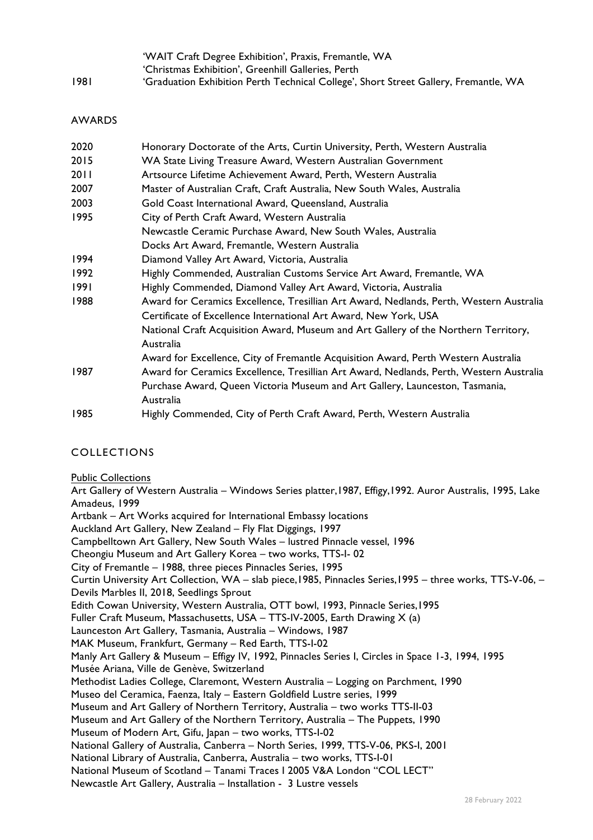|      | 'WAIT Craft Degree Exhibition', Praxis, Fremantle, WA                                |
|------|--------------------------------------------------------------------------------------|
|      | 'Christmas Exhibition', Greenhill Galleries, Perth                                   |
| 1981 | 'Graduation Exhibition Perth Technical College', Short Street Gallery, Fremantle, WA |

#### AWARDS

| 2020   | Honorary Doctorate of the Arts, Curtin University, Perth, Western Australia             |
|--------|-----------------------------------------------------------------------------------------|
| 2015   | WA State Living Treasure Award, Western Australian Government                           |
| 20 I I | Artsource Lifetime Achievement Award, Perth, Western Australia                          |
| 2007   | Master of Australian Craft, Craft Australia, New South Wales, Australia                 |
| 2003   | Gold Coast International Award, Queensland, Australia                                   |
| 1995   | City of Perth Craft Award, Western Australia                                            |
|        | Newcastle Ceramic Purchase Award, New South Wales, Australia                            |
|        | Docks Art Award, Fremantle, Western Australia                                           |
| 1994   | Diamond Valley Art Award, Victoria, Australia                                           |
| 1992   | Highly Commended, Australian Customs Service Art Award, Fremantle, WA                   |
| 1991   | Highly Commended, Diamond Valley Art Award, Victoria, Australia                         |
| 1988   | Award for Ceramics Excellence, Tresillian Art Award, Nedlands, Perth, Western Australia |
|        | Certificate of Excellence International Art Award, New York, USA                        |
|        | National Craft Acquisition Award, Museum and Art Gallery of the Northern Territory,     |
|        | Australia                                                                               |
|        | Award for Excellence, City of Fremantle Acquisition Award, Perth Western Australia      |
| 1987   | Award for Ceramics Excellence, Tresillian Art Award, Nedlands, Perth, Western Australia |
|        | Purchase Award, Queen Victoria Museum and Art Gallery, Launceston, Tasmania,            |
|        | Australia                                                                               |
| 1985   | Highly Commended, City of Perth Craft Award, Perth, Western Australia                   |
|        |                                                                                         |

## COLLECTIONS

Public Collections

Art Gallery of Western Australia – Windows Series platter,1987, Effigy,1992. Auror Australis, 1995, Lake Amadeus, 1999 Artbank – Art Works acquired for International Embassy locations Auckland Art Gallery, New Zealand – Fly Flat Diggings, 1997 Campbelltown Art Gallery, New South Wales – lustred Pinnacle vessel, 1996 Cheongiu Museum and Art Gallery Korea – two works, TTS-I- 02 City of Fremantle – 1988, three pieces Pinnacles Series, 1995 Curtin University Art Collection, WA – slab piece,1985, Pinnacles Series,1995 – three works, TTS-V-06, – Devils Marbles II, 2018, Seedlings Sprout Edith Cowan University, Western Australia, OTT bowl, 1993, Pinnacle Series,1995 Fuller Craft Museum, Massachusetts, USA – TTS-IV-2005, Earth Drawing  $X$  (a) Launceston Art Gallery, Tasmania, Australia – Windows, 1987 MAK Museum, Frankfurt, Germany – Red Earth, TTS-I-02 Manly Art Gallery & Museum – Effigy IV, 1992, Pinnacles Series I, Circles in Space 1-3, 1994, 1995 Musée Ariana, Ville de Genève, Switzerland Methodist Ladies College, Claremont, Western Australia – Logging on Parchment, 1990 Museo del Ceramica, Faenza, Italy – Eastern Goldfield Lustre series, 1999 Museum and Art Gallery of Northern Territory, Australia – two works TTS-II-03 Museum and Art Gallery of the Northern Territory, Australia – The Puppets, 1990 Museum of Modern Art, Gifu, Japan – two works, TTS-I-02 National Gallery of Australia, Canberra – North Series, 1999, TTS-V-06, PKS-I, 2001 National Library of Australia, Canberra, Australia – two works, TTS-I-01 National Museum of Scotland – Tanami Traces I 2005 V&A London "COL LECT" Newcastle Art Gallery, Australia – Installation - 3 Lustre vessels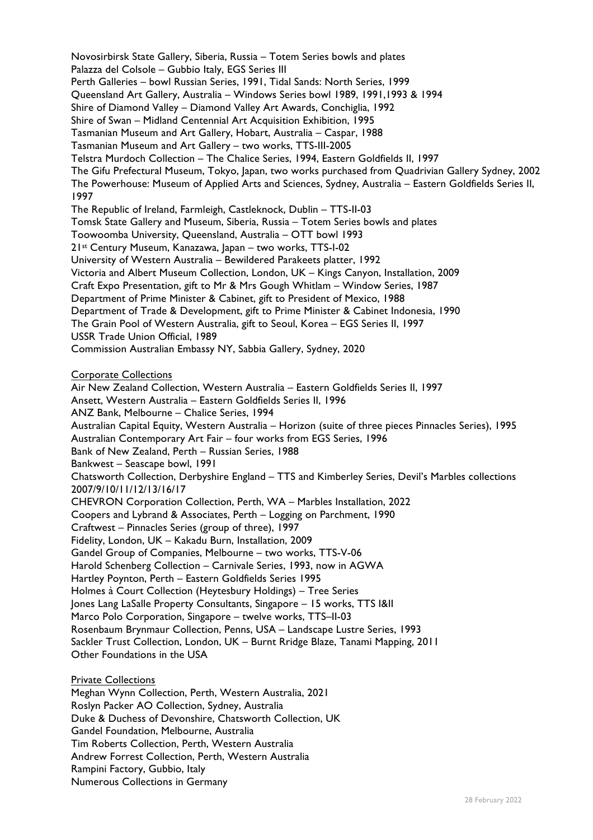Novosirbirsk State Gallery, Siberia, Russia – Totem Series bowls and plates Palazza del Colsole – Gubbio Italy, EGS Series III Perth Galleries – bowl Russian Series, 1991, Tidal Sands: North Series, 1999 Queensland Art Gallery, Australia – Windows Series bowl 1989, 1991,1993 & 1994 Shire of Diamond Valley – Diamond Valley Art Awards, Conchiglia, 1992 Shire of Swan – Midland Centennial Art Acquisition Exhibition, 1995 Tasmanian Museum and Art Gallery, Hobart, Australia – Caspar, 1988 Tasmanian Museum and Art Gallery – two works, TTS-III-2005 Telstra Murdoch Collection – The Chalice Series, 1994, Eastern Goldfields II, 1997 The Gifu Prefectural Museum, Tokyo, Japan, two works purchased from Quadrivian Gallery Sydney, 2002 The Powerhouse: Museum of Applied Arts and Sciences, Sydney, Australia – Eastern Goldfields Series II, 1997 The Republic of Ireland, Farmleigh, Castleknock, Dublin – TTS-II-03 Tomsk State Gallery and Museum, Siberia, Russia – Totem Series bowls and plates Toowoomba University, Queensland, Australia – OTT bowl 1993 21st Century Museum, Kanazawa, Japan – two works, TTS-I-02 University of Western Australia – Bewildered Parakeets platter, 1992 Victoria and Albert Museum Collection, London, UK – Kings Canyon, Installation, 2009 Craft Expo Presentation, gift to Mr & Mrs Gough Whitlam – Window Series, 1987 Department of Prime Minister & Cabinet, gift to President of Mexico, 1988 Department of Trade & Development, gift to Prime Minister & Cabinet Indonesia, 1990 The Grain Pool of Western Australia, gift to Seoul, Korea – EGS Series II, 1997 USSR Trade Union Official, 1989 Commission Australian Embassy NY, Sabbia Gallery, Sydney, 2020 Corporate Collections

Air New Zealand Collection, Western Australia – Eastern Goldfields Series II, 1997 Ansett, Western Australia – Eastern Goldfields Series II, 1996 ANZ Bank, Melbourne – Chalice Series, 1994 Australian Capital Equity, Western Australia – Horizon (suite of three pieces Pinnacles Series), 1995 Australian Contemporary Art Fair – four works from EGS Series, 1996 Bank of New Zealand, Perth – Russian Series, 1988 Bankwest – Seascape bowl, 1991 Chatsworth Collection, Derbyshire England – TTS and Kimberley Series, Devil's Marbles collections 2007/9/10/11/12/13/16/17 CHEVRON Corporation Collection, Perth, WA – Marbles Installation, 2022 Coopers and Lybrand & Associates, Perth – Logging on Parchment, 1990 Craftwest – Pinnacles Series (group of three), 1997 Fidelity, London, UK – Kakadu Burn, Installation, 2009 Gandel Group of Companies, Melbourne – two works, TTS-V-06 Harold Schenberg Collection – Carnivale Series, 1993, now in AGWA Hartley Poynton, Perth – Eastern Goldfields Series 1995 Holmes à Court Collection (Heytesbury Holdings) – Tree Series Jones Lang LaSalle Property Consultants, Singapore – 15 works, TTS I&II Marco Polo Corporation, Singapore – twelve works, TTS–II-03 Rosenbaum Brynmaur Collection, Penns, USA – Landscape Lustre Series, 1993 Sackler Trust Collection, London, UK – Burnt Rridge Blaze, Tanami Mapping, 2011 Other Foundations in the USA

Private Collections

Meghan Wynn Collection, Perth, Western Australia, 2021 Roslyn Packer AO Collection, Sydney, Australia Duke & Duchess of Devonshire, Chatsworth Collection, UK Gandel Foundation, Melbourne, Australia Tim Roberts Collection, Perth, Western Australia Andrew Forrest Collection, Perth, Western Australia Rampini Factory, Gubbio, Italy Numerous Collections in Germany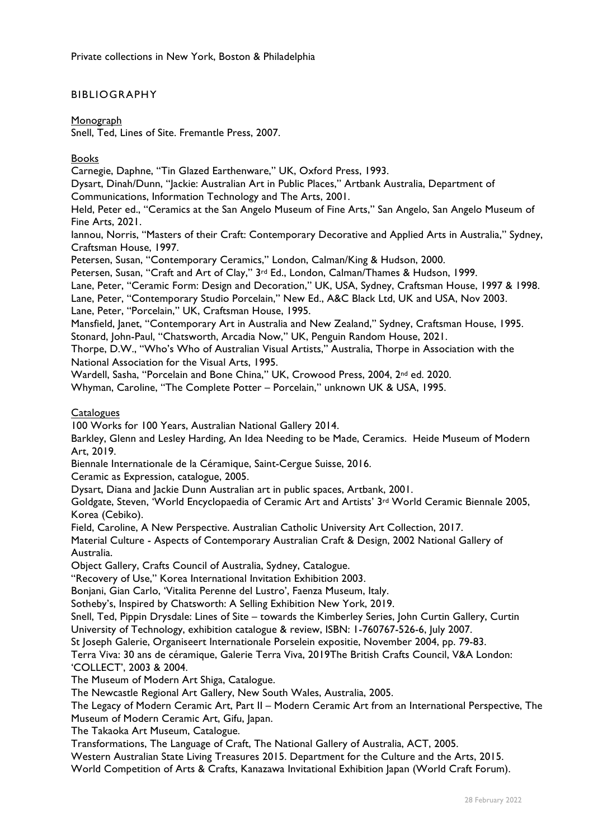#### BIBLIOGRAPHY

Monograph

Snell, Ted, Lines of Site. Fremantle Press, 2007.

#### Books

Carnegie, Daphne, "Tin Glazed Earthenware," UK, Oxford Press, 1993.

Dysart, Dinah/Dunn, "Jackie: Australian Art in Public Places," Artbank Australia, Department of

Communications, Information Technology and The Arts, 2001.

Held, Peter ed., "Ceramics at the San Angelo Museum of Fine Arts," San Angelo, San Angelo Museum of Fine Arts, 2021.

Iannou, Norris, "Masters of their Craft: Contemporary Decorative and Applied Arts in Australia," Sydney, Craftsman House, 1997.

Petersen, Susan, "Contemporary Ceramics," London, Calman/King & Hudson, 2000.

Petersen, Susan, "Craft and Art of Clay," 3rd Ed., London, Calman/Thames & Hudson, 1999.

Lane, Peter, "Ceramic Form: Design and Decoration," UK, USA, Sydney, Craftsman House, 1997 & 1998.

Lane, Peter, "Contemporary Studio Porcelain," New Ed., A&C Black Ltd, UK and USA, Nov 2003.

Lane, Peter, "Porcelain," UK, Craftsman House, 1995.

Mansfield, Janet, "Contemporary Art in Australia and New Zealand," Sydney, Craftsman House, 1995.

Stonard, John-Paul, "Chatsworth, Arcadia Now," UK, Penguin Random House, 2021.

Thorpe, D.W., "Who's Who of Australian Visual Artists," Australia, Thorpe in Association with the National Association for the Visual Arts, 1995.

Wardell, Sasha, "Porcelain and Bone China," UK, Crowood Press, 2004, 2nd ed. 2020.

Whyman, Caroline, "The Complete Potter – Porcelain," unknown UK & USA, 1995.

#### **Catalogues**

100 Works for 100 Years, Australian National Gallery 2014.

Barkley, Glenn and Lesley Harding, An Idea Needing to be Made, Ceramics. Heide Museum of Modern Art, 2019.

Biennale Internationale de la Céramique, Saint-Cergue Suisse, 2016.

Ceramic as Expression, catalogue, 2005.

Dysart, Diana and Jackie Dunn Australian art in public spaces, Artbank, 2001.

Goldgate, Steven, 'World Encyclopaedia of Ceramic Art and Artists' 3rd World Ceramic Biennale 2005, Korea (Cebiko).

Field, Caroline, A New Perspective. Australian Catholic University Art Collection, 2017.

Material Culture - Aspects of Contemporary Australian Craft & Design, 2002 National Gallery of Australia.

Object Gallery, Crafts Council of Australia, Sydney, Catalogue.

"Recovery of Use," Korea International Invitation Exhibition 2003.

Bonjani, Gian Carlo, 'Vitalita Perenne del Lustro', Faenza Museum, Italy.

Sotheby's, Inspired by Chatsworth: A Selling Exhibition New York, 2019.

Snell, Ted, Pippin Drysdale: Lines of Site – towards the Kimberley Series, John Curtin Gallery, Curtin University of Technology, exhibition catalogue & review, ISBN: 1-760767-526-6, July 2007.

St Joseph Galerie, Organiseert Internationale Porselein expositie, November 2004, pp. 79-83.

Terra Viva: 30 ans de céramique, Galerie Terra Viva, 2019The British Crafts Council, V&A London: 'COLLECT', 2003 & 2004.

The Museum of Modern Art Shiga, Catalogue.

The Newcastle Regional Art Gallery, New South Wales, Australia, 2005.

The Legacy of Modern Ceramic Art, Part II – Modern Ceramic Art from an International Perspective, The Museum of Modern Ceramic Art, Gifu, Japan.

The Takaoka Art Museum, Catalogue.

Transformations, The Language of Craft, The National Gallery of Australia, ACT, 2005.

Western Australian State Living Treasures 2015. Department for the Culture and the Arts, 2015.

World Competition of Arts & Crafts, Kanazawa Invitational Exhibition Japan (World Craft Forum).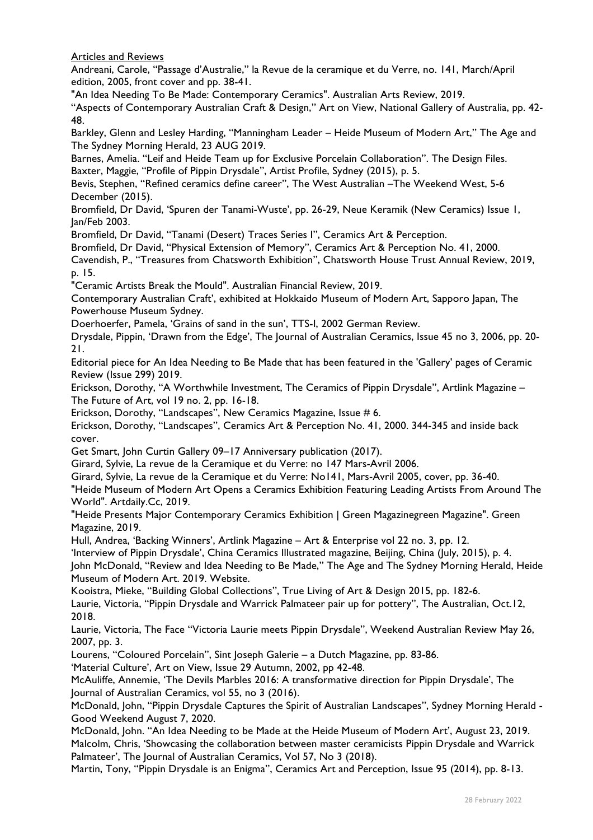Articles and Reviews

Andreani, Carole, "Passage d'Australie," la Revue de la ceramique et du Verre, no. 141, March/April edition, 2005, front cover and pp. 38-41.

"An Idea Needing To Be Made: Contemporary Ceramics". Australian Arts Review, 2019.

"Aspects of Contemporary Australian Craft & Design," Art on View, National Gallery of Australia, pp. 42- 48.

Barkley, Glenn and Lesley Harding, "Manningham Leader – Heide Museum of Modern Art," The Age and The Sydney Morning Herald, 23 AUG 2019.

Barnes, Amelia. "Leif and Heide Team up for Exclusive Porcelain Collaboration". The Design Files. Baxter, Maggie, "Profile of Pippin Drysdale", Artist Profile, Sydney (2015), p. 5.

Bevis, Stephen, "Refined ceramics define career", The West Australian –The Weekend West, 5-6 December (2015).

Bromfield, Dr David, 'Spuren der Tanami-Wuste', pp. 26-29, Neue Keramik (New Ceramics) Issue 1, Jan/Feb 2003.

Bromfield, Dr David, "Tanami (Desert) Traces Series I", Ceramics Art & Perception.

Bromfield, Dr David, "Physical Extension of Memory", Ceramics Art & Perception No. 41, 2000.

Cavendish, P., "Treasures from Chatsworth Exhibition", Chatsworth House Trust Annual Review, 2019, p. 15.

"Ceramic Artists Break the Mould". Australian Financial Review, 2019.

Contemporary Australian Craft', exhibited at Hokkaido Museum of Modern Art, Sapporo Japan, The Powerhouse Museum Sydney.

Doerhoerfer, Pamela, 'Grains of sand in the sun', TTS-I, 2002 German Review.

Drysdale, Pippin, 'Drawn from the Edge', The Journal of Australian Ceramics, Issue 45 no 3, 2006, pp. 20- 21.

Editorial piece for An Idea Needing to Be Made that has been featured in the 'Gallery' pages of Ceramic Review (Issue 299) 2019.

Erickson, Dorothy, "A Worthwhile Investment, The Ceramics of Pippin Drysdale", Artlink Magazine – The Future of Art, vol 19 no. 2, pp. 16-18.

Erickson, Dorothy, "Landscapes", New Ceramics Magazine, Issue # 6.

Erickson, Dorothy, "Landscapes", Ceramics Art & Perception No. 41, 2000. 344-345 and inside back cover.

Get Smart, John Curtin Gallery 09–17 Anniversary publication (2017).

Girard, Sylvie, La revue de la Ceramique et du Verre: no 147 Mars-Avril 2006.

Girard, Sylvie, La revue de la Ceramique et du Verre: No141, Mars-Avril 2005, cover, pp. 36-40.

"Heide Museum of Modern Art Opens a Ceramics Exhibition Featuring Leading Artists From Around The World". Artdaily.Cc, 2019.

"Heide Presents Major Contemporary Ceramics Exhibition | Green Magazinegreen Magazine". Green Magazine, 2019.

Hull, Andrea, 'Backing Winners', Artlink Magazine – Art & Enterprise vol 22 no. 3, pp. 12.

'Interview of Pippin Drysdale', China Ceramics Illustrated magazine, Beijing, China (July, 2015), p. 4.

John McDonald, "Review and Idea Needing to Be Made," The Age and The Sydney Morning Herald, Heide Museum of Modern Art. 2019. Website.

Kooistra, Mieke, "Building Global Collections", True Living of Art & Design 2015, pp. 182-6. Laurie, Victoria, "Pippin Drysdale and Warrick Palmateer pair up for pottery", The Australian, Oct.12, 2018.

Laurie, Victoria, The Face "Victoria Laurie meets Pippin Drysdale", Weekend Australian Review May 26, 2007, pp. 3.

Lourens, "Coloured Porcelain", Sint Joseph Galerie – a Dutch Magazine, pp. 83-86.

'Material Culture', Art on View, Issue 29 Autumn, 2002, pp 42-48.

McAuliffe, Annemie, 'The Devils Marbles 2016: A transformative direction for Pippin Drysdale', The Journal of Australian Ceramics, vol 55, no 3 (2016).

McDonald, John, "Pippin Drysdale Captures the Spirit of Australian Landscapes", Sydney Morning Herald - Good Weekend August 7, 2020.

McDonald, John. "An Idea Needing to be Made at the Heide Museum of Modern Art', August 23, 2019. Malcolm, Chris, 'Showcasing the collaboration between master ceramicists Pippin Drysdale and Warrick Palmateer', The Journal of Australian Ceramics, Vol 57, No 3 (2018).

Martin, Tony, "Pippin Drysdale is an Enigma", Ceramics Art and Perception, Issue 95 (2014), pp. 8-13.